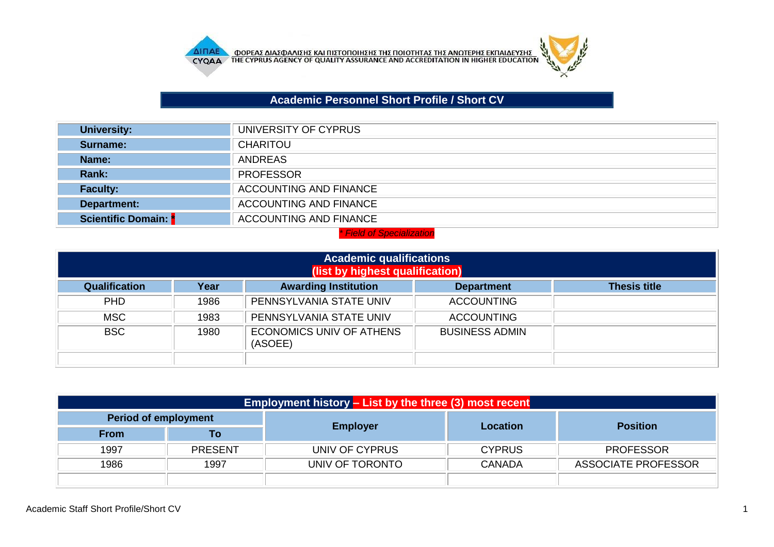

# **Academic Personnel Short Profile / Short CV**

 $\mu$ 

| <b>University:</b>        | UNIVERSITY OF CYPRUS          |
|---------------------------|-------------------------------|
| Surname:                  | <b>CHARITOU</b>               |
| Name:                     | <b>ANDREAS</b>                |
| <b>Rank:</b>              | <b>PROFESSOR</b>              |
| <b>Faculty:</b>           | ACCOUNTING AND FINANCE        |
| Department:               | <b>ACCOUNTING AND FINANCE</b> |
| <b>Scientific Domain:</b> | <b>ACCOUNTING AND FINANCE</b> |

#### *\* Field of Specialization*

| <b>Academic qualifications</b><br>(list by highest qualification) |      |                                            |                       |                     |
|-------------------------------------------------------------------|------|--------------------------------------------|-----------------------|---------------------|
| <b>Qualification</b>                                              | Year | <b>Awarding Institution</b>                | <b>Department</b>     | <b>Thesis title</b> |
| <b>PHD</b>                                                        | 1986 | PENNSYLVANIA STATE UNIV                    | <b>ACCOUNTING</b>     |                     |
| <b>MSC</b>                                                        | 1983 | PENNSYLVANIA STATE UNIV                    | <b>ACCOUNTING</b>     |                     |
| <b>BSC</b>                                                        | 1980 | <b>ECONOMICS UNIV OF ATHENS</b><br>(ASOEE) | <b>BUSINESS ADMIN</b> |                     |

| Employment history - List by the three (3) most recent |                |                 |               |                     |  |
|--------------------------------------------------------|----------------|-----------------|---------------|---------------------|--|
| <b>Period of employment</b>                            |                |                 | Location      | <b>Position</b>     |  |
| <b>From</b>                                            | Τo             | <b>Employer</b> |               |                     |  |
| 1997                                                   | <b>PRESENT</b> | UNIV OF CYPRUS  | <b>CYPRUS</b> | <b>PROFESSOR</b>    |  |
| 1986                                                   | 1997           | UNIV OF TORONTO | <b>CANADA</b> | ASSOCIATE PROFESSOR |  |
|                                                        |                |                 |               |                     |  |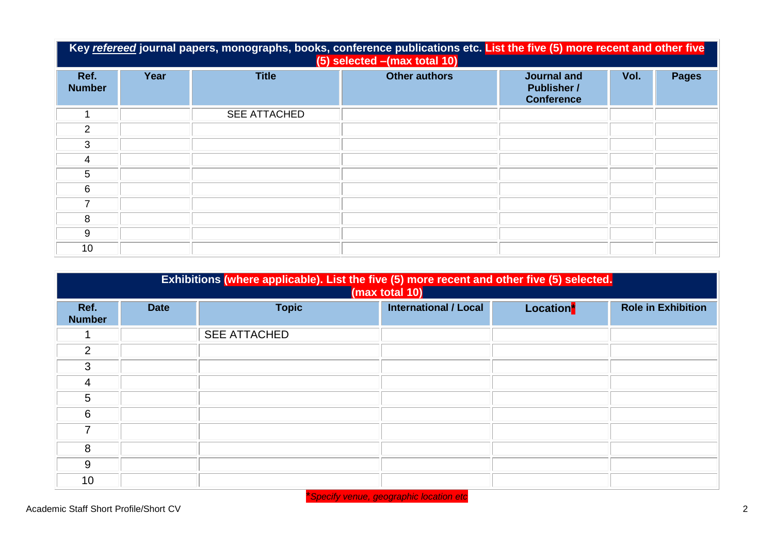|                       | Key refereed journal papers, monographs, books, conference publications etc. List the five (5) more recent and other five<br>(5) selected - (max total 10) |                     |                      |                                                               |      |              |
|-----------------------|------------------------------------------------------------------------------------------------------------------------------------------------------------|---------------------|----------------------|---------------------------------------------------------------|------|--------------|
| Ref.<br><b>Number</b> | Year                                                                                                                                                       | <b>Title</b>        | <b>Other authors</b> | <b>Journal and</b><br><b>Publisher /</b><br><b>Conference</b> | Vol. | <b>Pages</b> |
|                       |                                                                                                                                                            | <b>SEE ATTACHED</b> |                      |                                                               |      |              |
| $\mathcal{P}$         |                                                                                                                                                            |                     |                      |                                                               |      |              |
| 3                     |                                                                                                                                                            |                     |                      |                                                               |      |              |
| 4                     |                                                                                                                                                            |                     |                      |                                                               |      |              |
| 5                     |                                                                                                                                                            |                     |                      |                                                               |      |              |
| 6                     |                                                                                                                                                            |                     |                      |                                                               |      |              |
| 7                     |                                                                                                                                                            |                     |                      |                                                               |      |              |
| 8                     |                                                                                                                                                            |                     |                      |                                                               |      |              |
| 9                     |                                                                                                                                                            |                     |                      |                                                               |      |              |
| 10                    |                                                                                                                                                            |                     |                      |                                                               |      |              |

|                       | Exhibitions (where applicable). List the five (5) more recent and other five (5) selected.<br>(max total 10) |                     |                              |           |                           |
|-----------------------|--------------------------------------------------------------------------------------------------------------|---------------------|------------------------------|-----------|---------------------------|
| Ref.<br><b>Number</b> | <b>Date</b>                                                                                                  | <b>Topic</b>        | <b>International / Local</b> | Location* | <b>Role in Exhibition</b> |
|                       |                                                                                                              | <b>SEE ATTACHED</b> |                              |           |                           |
| 2                     |                                                                                                              |                     |                              |           |                           |
| 3                     |                                                                                                              |                     |                              |           |                           |
| $\overline{4}$        |                                                                                                              |                     |                              |           |                           |
| 5                     |                                                                                                              |                     |                              |           |                           |
| 6                     |                                                                                                              |                     |                              |           |                           |
| 7                     |                                                                                                              |                     |                              |           |                           |
| 8                     |                                                                                                              |                     |                              |           |                           |
| 9                     |                                                                                                              |                     |                              |           |                           |
| 10 <sup>1</sup>       |                                                                                                              |                     |                              |           |                           |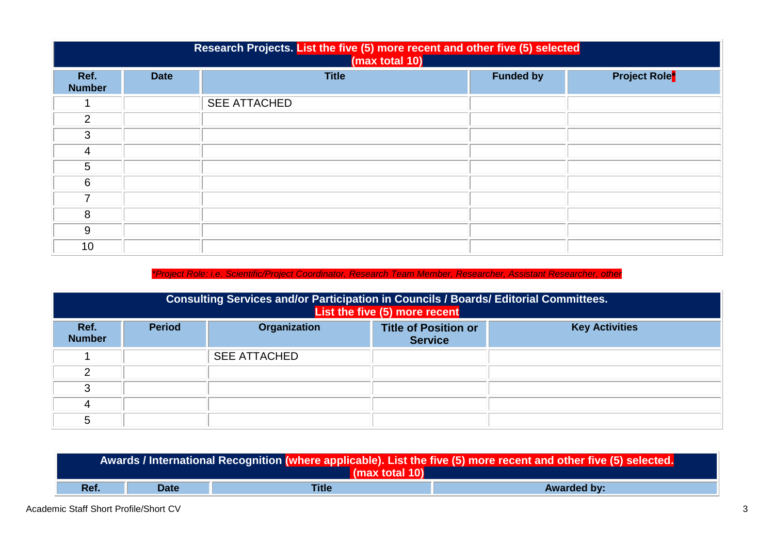|                       | Research Projects. List the five (5) more recent and other five (5) selected<br>(max total 10) |                     |                  |                                 |  |
|-----------------------|------------------------------------------------------------------------------------------------|---------------------|------------------|---------------------------------|--|
| Ref.<br><b>Number</b> | <b>Date</b>                                                                                    | <b>Title</b>        | <b>Funded by</b> | <b>Project Role<sup>*</sup></b> |  |
|                       |                                                                                                | <b>SEE ATTACHED</b> |                  |                                 |  |
| $\overline{2}$        |                                                                                                |                     |                  |                                 |  |
| 3                     |                                                                                                |                     |                  |                                 |  |
| 4                     |                                                                                                |                     |                  |                                 |  |
| 5                     |                                                                                                |                     |                  |                                 |  |
| 6                     |                                                                                                |                     |                  |                                 |  |
| ⇁                     |                                                                                                |                     |                  |                                 |  |
| 8                     |                                                                                                |                     |                  |                                 |  |
| 9                     |                                                                                                |                     |                  |                                 |  |
| 10                    |                                                                                                |                     |                  |                                 |  |

### *\*Project Role: i.e. Scientific/Project Coordinator, Research Team Member, Researcher, Assistant Researcher, other*

|                       | Consulting Services and/or Participation in Councils / Boards/ Editorial Committees.<br>List the five (5) more recent |                     |                                               |                       |  |
|-----------------------|-----------------------------------------------------------------------------------------------------------------------|---------------------|-----------------------------------------------|-----------------------|--|
| Ref.<br><b>Number</b> | <b>Period</b>                                                                                                         | <b>Organization</b> | <b>Title of Position or</b><br><b>Service</b> | <b>Key Activities</b> |  |
|                       |                                                                                                                       | <b>SEE ATTACHED</b> |                                               |                       |  |
| ◠                     |                                                                                                                       |                     |                                               |                       |  |
| ◠                     |                                                                                                                       |                     |                                               |                       |  |
|                       |                                                                                                                       |                     |                                               |                       |  |
|                       |                                                                                                                       |                     |                                               |                       |  |

| Awards / International Recognition (where applicable). List the five (5) more recent and other five (5) selected.<br>(max total 10) |             |       |                    |
|-------------------------------------------------------------------------------------------------------------------------------------|-------------|-------|--------------------|
| Ref.                                                                                                                                | <b>Date</b> | Title | <b>Awarded by:</b> |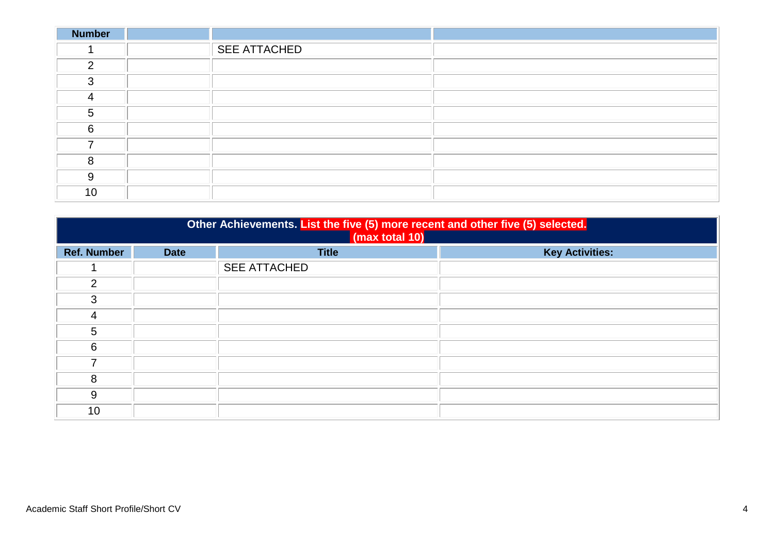| <b>Number</b> |                     |  |
|---------------|---------------------|--|
|               | <b>SEE ATTACHED</b> |  |
| $\mathcal{D}$ |                     |  |
| 3             |                     |  |
| 4             |                     |  |
| 5             |                     |  |
| 6             |                     |  |
|               |                     |  |
| 8             |                     |  |
| 9             |                     |  |
| 10            |                     |  |

| Other Achievements. List the five (5) more recent and other five (5) selected.<br>(max total 10) |             |                     |                        |  |
|--------------------------------------------------------------------------------------------------|-------------|---------------------|------------------------|--|
| <b>Ref. Number</b>                                                                               | <b>Date</b> | <b>Title</b>        | <b>Key Activities:</b> |  |
|                                                                                                  |             | <b>SEE ATTACHED</b> |                        |  |
| 2                                                                                                |             |                     |                        |  |
| 3                                                                                                |             |                     |                        |  |
| 4                                                                                                |             |                     |                        |  |
| 5                                                                                                |             |                     |                        |  |
| 6                                                                                                |             |                     |                        |  |
| 7                                                                                                |             |                     |                        |  |
| 8                                                                                                |             |                     |                        |  |
| 9                                                                                                |             |                     |                        |  |
| 10                                                                                               |             |                     |                        |  |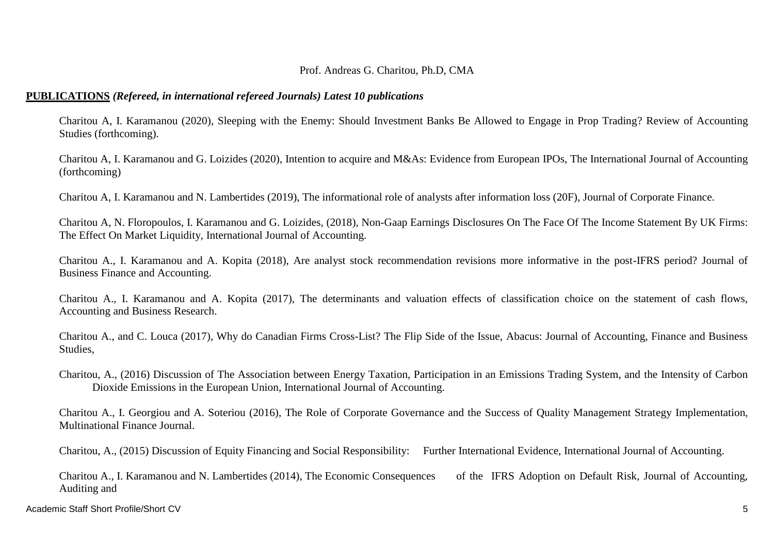### Prof. Andreas G. Charitou, Ph.D, CMA

### **PUBLICATIONS** *(Refereed, in international refereed Journals) Latest 10 publications*

Charitou A, I. Karamanou (2020), Sleeping with the Enemy: Should Investment Banks Be Allowed to Engage in Prop Trading? Review of Accounting Studies (forthcoming).

Charitou A, I. Karamanou and G. Loizides (2020), Intention to acquire and M&As: Evidence from European IPOs, The International Journal of Accounting (forthcoming)

Charitou A, I. Karamanou and N. Lambertides (2019), The informational role of analysts after information loss (20F), Journal of Corporate Finance.

Charitou A, N. Floropoulos, I. Karamanou and G. Loizides, (2018), Non-Gaap Earnings Disclosures On The Face Of The Income Statement By UK Firms: The Effect On Market Liquidity, International Journal of Accounting.

Charitou A., I. Karamanou and A. Kopita (2018), Are analyst stock recommendation revisions more informative in the post-IFRS period? Journal of Business Finance and Accounting.

Charitou A., I. Karamanou and A. Kopita (2017), The determinants and valuation effects of classification choice on the statement of cash flows, Accounting and Business Research.

Charitou A., and C. Louca (2017), Why do Canadian Firms Cross-List? The Flip Side of the Issue, Abacus: Journal of Accounting, Finance and Business Studies,

Charitou, A., (2016) Discussion of The Association between Energy Taxation, Participation in an Emissions Trading System, and the Intensity of Carbon Dioxide Emissions in the European Union, International Journal of Accounting.

Charitou A., I. Georgiou and A. Soteriou (2016), The Role of Corporate Governance and the Success of Quality Management Strategy Implementation, Multinational Finance Journal.

Charitou, A., (2015) Discussion of Equity Financing and Social Responsibility: Further International Evidence, International Journal of Accounting.

Charitou A., I. Karamanou and N. Lambertides (2014), The Economic Consequences of the IFRS Adoption on Default Risk, Journal of Accounting, Auditing and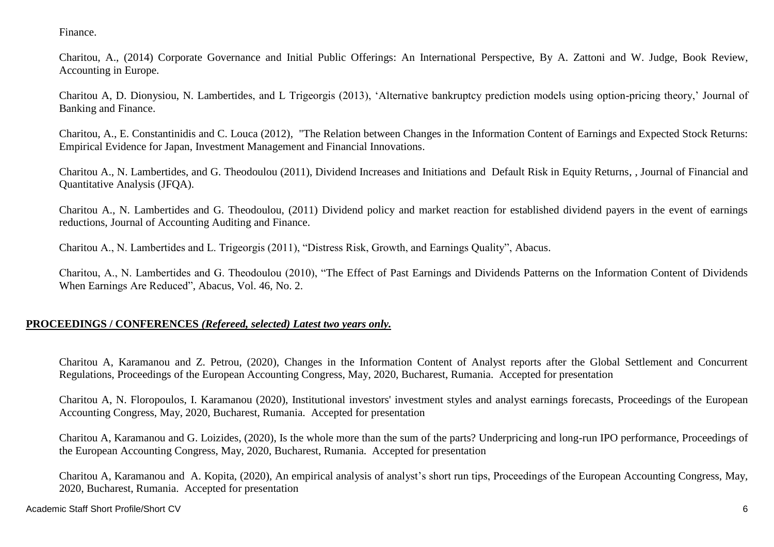Finance.

Charitou, A., (2014) Corporate Governance and Initial Public Offerings: An International Perspective, By A. Zattoni and W. Judge, Book Review, Accounting in Europe.

Charitou A, D. Dionysiou, N. Lambertides, and L Trigeorgis (2013), 'Alternative bankruptcy prediction models using option-pricing theory,' Journal of Banking and Finance.

Charitou, A., E. Constantinidis and C. Louca (2012), "The Relation between Changes in the Information Content of Earnings and Expected Stock Returns: Empirical Evidence for Japan, Investment Management and Financial Innovations.

Charitou A., N. Lambertides, and G. Theodoulou (2011), Dividend Increases and Initiations and Default Risk in Equity Returns, , Journal of Financial and Quantitative Analysis (JFQA).

Charitou A., N. Lambertides and G. Theodoulou, (2011) Dividend policy and market reaction for established dividend payers in the event of earnings reductions, Journal of Accounting Auditing and Finance.

Charitou A., N. Lambertides and L. Trigeorgis (2011), "Distress Risk, Growth, and Earnings Quality", Abacus.

Charitou, A., N. Lambertides and G. Theodoulou (2010), "The Effect of Past Earnings and Dividends Patterns on the Information Content of Dividends When Earnings Are Reduced", Abacus, Vol. 46, No. 2.

## **PROCEEDINGS / CONFERENCES** *(Refereed, selected) Latest two years only.*

Charitou A, Karamanou and Z. Petrou, (2020), Changes in the Information Content of Analyst reports after the Global Settlement and Concurrent Regulations, Proceedings of the European Accounting Congress, May, 2020, Bucharest, Rumania. Accepted for presentation

Charitou A, N. Floropoulos, I. Karamanou (2020), Institutional investors' investment styles and analyst earnings forecasts, Proceedings of the European Accounting Congress, May, 2020, Bucharest, Rumania. Accepted for presentation

Charitou A, Karamanou and G. Loizides, (2020), Is the whole more than the sum of the parts? Underpricing and long-run IPO performance, Proceedings of the European Accounting Congress, May, 2020, Bucharest, Rumania. Accepted for presentation

Charitou A, Karamanou and A. Kopita, (2020), An empirical analysis of analyst's short run tips, Proceedings of the European Accounting Congress, May, 2020, Bucharest, Rumania. Accepted for presentation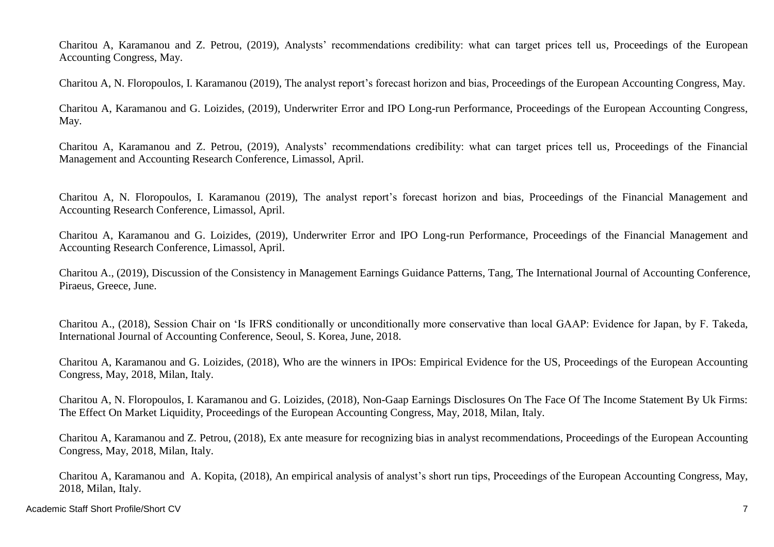Charitou A, Karamanou and Z. Petrou, (2019), Analysts' recommendations credibility: what can target prices tell us, Proceedings of the European Accounting Congress, May.

Charitou A, N. Floropoulos, I. Karamanou (2019), The analyst report's forecast horizon and bias, Proceedings of the European Accounting Congress, May.

Charitou A, Karamanou and G. Loizides, (2019), Underwriter Error and IPO Long-run Performance, Proceedings of the European Accounting Congress, May.

Charitou A, Karamanou and Z. Petrou, (2019), Analysts' recommendations credibility: what can target prices tell us, Proceedings of the Financial Management and Accounting Research Conference, Limassol, April.

Charitou A, N. Floropoulos, I. Karamanou (2019), The analyst report's forecast horizon and bias, Proceedings of the Financial Management and Accounting Research Conference, Limassol, April.

Charitou A, Karamanou and G. Loizides, (2019), Underwriter Error and IPO Long-run Performance, Proceedings of the Financial Management and Accounting Research Conference, Limassol, April.

Charitou A., (2019), Discussion of the Consistency in Management Earnings Guidance Patterns, Tang, The International Journal of Accounting Conference, Piraeus, Greece, June.

Charitou A., (2018), Session Chair on 'Is IFRS conditionally or unconditionally more conservative than local GAAP: Evidence for Japan, by F. Takeda, International Journal of Accounting Conference, Seoul, S. Korea, June, 2018.

Charitou A, Karamanou and G. Loizides, (2018), Who are the winners in IPOs: Empirical Evidence for the US, Proceedings of the European Accounting Congress, May, 2018, Milan, Italy.

Charitou A, N. Floropoulos, I. Karamanou and G. Loizides, (2018), Non-Gaap Earnings Disclosures On The Face Of The Income Statement By Uk Firms: The Effect On Market Liquidity, Proceedings of the European Accounting Congress, May, 2018, Milan, Italy.

Charitou A, Karamanou and Z. Petrou, (2018), Ex ante measure for recognizing bias in analyst recommendations, Proceedings of the European Accounting Congress, May, 2018, Milan, Italy.

Charitou A, Karamanou and A. Kopita, (2018), An empirical analysis of analyst's short run tips, Proceedings of the European Accounting Congress, May, 2018, Milan, Italy.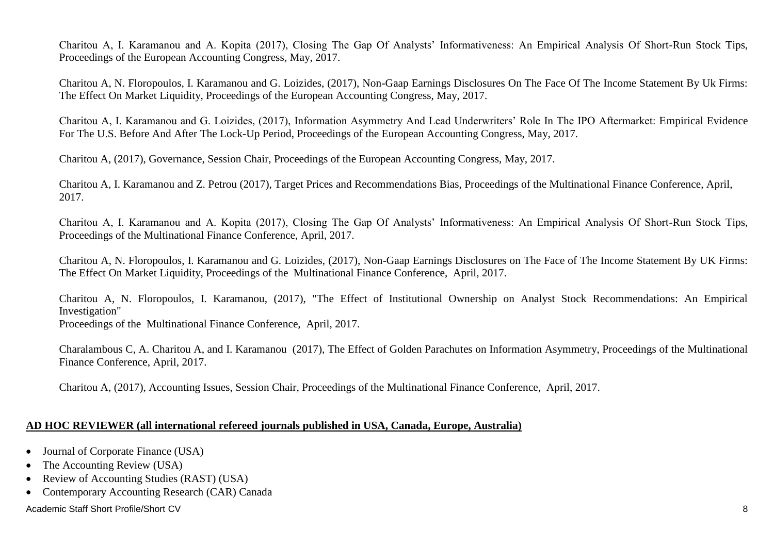Charitou A, I. Karamanou and A. Kopita (2017), Closing The Gap Of Analysts' Informativeness: An Empirical Analysis Of Short-Run Stock Tips, Proceedings of the European Accounting Congress, May, 2017.

Charitou A, N. Floropoulos, I. Karamanou and G. Loizides, (2017), Non-Gaap Earnings Disclosures On The Face Of The Income Statement By Uk Firms: The Effect On Market Liquidity, Proceedings of the European Accounting Congress, May, 2017.

Charitou A, I. Karamanou and G. Loizides, (2017), Information Asymmetry And Lead Underwriters' Role In The IPO Aftermarket: Empirical Evidence For The U.S. Before And After The Lock-Up Period, Proceedings of the European Accounting Congress, May, 2017.

Charitou A, (2017), Governance, Session Chair, Proceedings of the European Accounting Congress, May, 2017.

Charitou A, I. Karamanou and Z. Petrou (2017), Target Prices and Recommendations Bias, Proceedings of the Multinational Finance Conference, April, 2017.

Charitou A, I. Karamanou and A. Kopita (2017), Closing The Gap Of Analysts' Informativeness: An Empirical Analysis Of Short-Run Stock Tips, Proceedings of the Multinational Finance Conference, April, 2017.

Charitou A, N. Floropoulos, I. Karamanou and G. Loizides, (2017), Non-Gaap Earnings Disclosures on The Face of The Income Statement By UK Firms: The Effect On Market Liquidity, Proceedings of the Multinational Finance Conference, April, 2017.

Charitou A, N. Floropoulos, I. Karamanou, (2017), "The Effect of Institutional Ownership on Analyst Stock Recommendations: An Empirical Investigation"

Proceedings of the Multinational Finance Conference, April, 2017.

Charalambous C, A. Charitou A, and I. Karamanou (2017), The Effect of Golden Parachutes on Information Asymmetry, Proceedings of the Multinational Finance Conference, April, 2017.

Charitou A, (2017), Accounting Issues, Session Chair, Proceedings of the Multinational Finance Conference, April, 2017.

## **AD HOC REVIEWER (all international refereed journals published in USA, Canada, Europe, Australia)**

- Journal of Corporate Finance (USA)
- The Accounting Review (USA)
- Review of Accounting Studies (RAST) (USA)
- Contemporary Accounting Research (CAR) Canada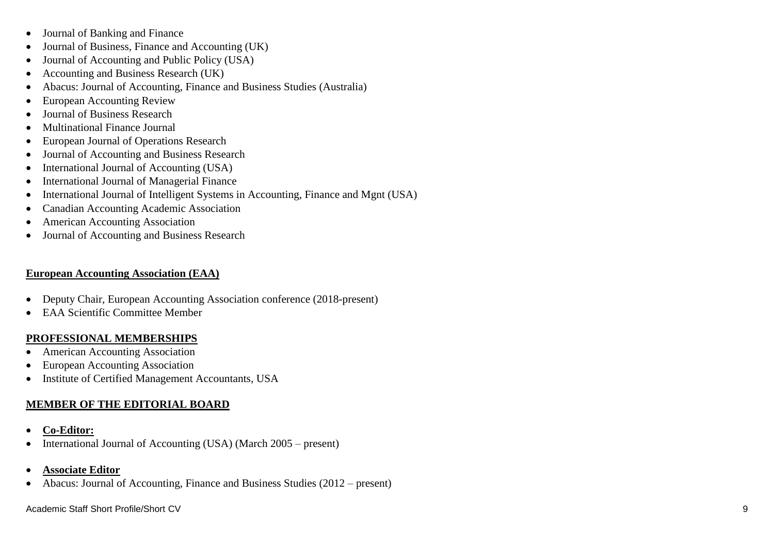- Journal of Banking and Finance
- Journal of Business, Finance and Accounting (UK)
- Journal of Accounting and Public Policy (USA)
- Accounting and Business Research (UK)
- Abacus: Journal of Accounting, Finance and Business Studies (Australia)
- European Accounting Review
- Journal of Business Research
- Multinational Finance Journal
- European Journal of Operations Research
- Journal of Accounting and Business Research
- International Journal of Accounting (USA)
- International Journal of Managerial Finance
- International Journal of Intelligent Systems in Accounting, Finance and Mgnt (USA)
- Canadian Accounting Academic Association
- American Accounting Association
- Journal of Accounting and Business Research

# **European Accounting Association (EAA)**

- Deputy Chair, European Accounting Association conference (2018 -present)
- EAA Scientific Committee Member

# **PROFESSIONAL MEMBERSHIPS**

- American Accounting Association
- European Accounting Association
- Institute of Certified Management Accountants, USA

# **MEMBER OF THE EDITORIAL BOARD**

- **Co-Editor:**
- International Journal of Accounting (USA) (March 2005 present)
- **Associate Editor**
- Abacus: Journal of Accounting, Finance and Business Studies (2012 present)